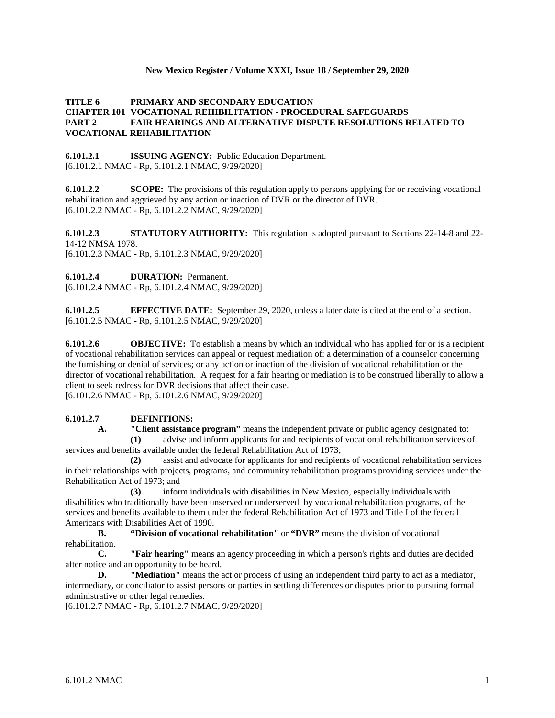### **New Mexico Register / Volume XXXI, Issue 18 / September 29, 2020**

## **TITLE 6 PRIMARY AND SECONDARY EDUCATION CHAPTER 101 VOCATIONAL REHIBILITATION - PROCEDURAL SAFEGUARDS PART 2 FAIR HEARINGS AND ALTERNATIVE DISPUTE RESOLUTIONS RELATED TO VOCATIONAL REHABILITATION**

**6.101.2.1 ISSUING AGENCY:** Public Education Department. [6.101.2.1 NMAC - Rp, 6.101.2.1 NMAC, 9/29/2020]

**6.101.2.2 SCOPE:** The provisions of this regulation apply to persons applying for or receiving vocational rehabilitation and aggrieved by any action or inaction of DVR or the director of DVR. [6.101.2.2 NMAC - Rp, 6.101.2.2 NMAC, 9/29/2020]

**6.101.2.3 STATUTORY AUTHORITY:** This regulation is adopted pursuant to Sections 22-14-8 and 22- 14-12 NMSA 1978. [6.101.2.3 NMAC - Rp, 6.101.2.3 NMAC, 9/29/2020]

**6.101.2.4 DURATION:** Permanent.

[6.101.2.4 NMAC - Rp, 6.101.2.4 NMAC, 9/29/2020]

**6.101.2.5 EFFECTIVE DATE:** September 29, 2020, unless a later date is cited at the end of a section. [6.101.2.5 NMAC - Rp, 6.101.2.5 NMAC, 9/29/2020]

**6.101.2.6 OBJECTIVE:** To establish a means by which an individual who has applied for or is a recipient of vocational rehabilitation services can appeal or request mediation of: a determination of a counselor concerning the furnishing or denial of services; or any action or inaction of the division of vocational rehabilitation or the director of vocational rehabilitation. A request for a fair hearing or mediation is to be construed liberally to allow a client to seek redress for DVR decisions that affect their case.

[6.101.2.6 NMAC - Rp, 6.101.2.6 NMAC, 9/29/2020]

## **6.101.2.7 DEFINITIONS:**

**A. "Client assistance program"** means the independent private or public agency designated to:

**(1)** advise and inform applicants for and recipients of vocational rehabilitation services of services and benefits available under the federal Rehabilitation Act of 1973;

**(2)** assist and advocate for applicants for and recipients of vocational rehabilitation services in their relationships with projects, programs, and community rehabilitation programs providing services under the Rehabilitation Act of 1973; and

**(3)** inform individuals with disabilities in New Mexico, especially individuals with disabilities who traditionally have been unserved or underserved by vocational rehabilitation programs, of the services and benefits available to them under the federal Rehabilitation Act of 1973 and Title I of the federal Americans with Disabilities Act of 1990.

**B. "Division of vocational rehabilitation"** or **"DVR"** means the division of vocational rehabilitation.

**C. "Fair hearing"** means an agency proceeding in which a person's rights and duties are decided after notice and an opportunity to be heard.

**D. "Mediation"** means the act or process of using an independent third party to act as a mediator, intermediary, or conciliator to assist persons or parties in settling differences or disputes prior to pursuing formal administrative or other legal remedies.

[6.101.2.7 NMAC - Rp, 6.101.2.7 NMAC, 9/29/2020]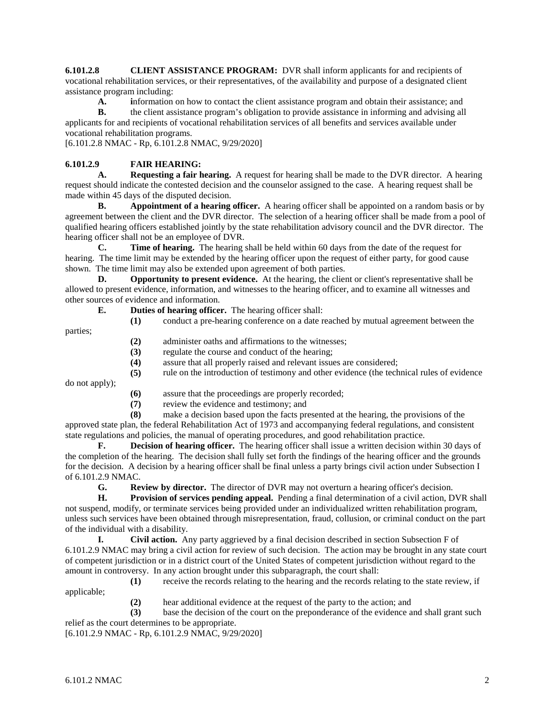**6.101.2.8 CLIENT ASSISTANCE PROGRAM:** DVR shall inform applicants for and recipients of vocational rehabilitation services, or their representatives, of the availability and purpose of a designated client assistance program including:

**A. i**nformation on how to contact the client assistance program and obtain their assistance; and

**B.** the client assistance program's obligation to provide assistance in informing and advising all applicants for and recipients of vocational rehabilitation services of all benefits and services available under vocational rehabilitation programs.

[6.101.2.8 NMAC - Rp, 6.101.2.8 NMAC, 9/29/2020]

# **6.101.2.9 FAIR HEARING:**

**A. Requesting a fair hearing.** A request for hearing shall be made to the DVR director. A hearing request should indicate the contested decision and the counselor assigned to the case. A hearing request shall be made within 45 days of the disputed decision.

**B. Appointment of a hearing officer.** A hearing officer shall be appointed on a random basis or by agreement between the client and the DVR director. The selection of a hearing officer shall be made from a pool of qualified hearing officers established jointly by the state rehabilitation advisory council and the DVR director. The hearing officer shall not be an employee of DVR.

**C. Time of hearing.** The hearing shall be held within 60 days from the date of the request for hearing. The time limit may be extended by the hearing officer upon the request of either party, for good cause shown. The time limit may also be extended upon agreement of both parties.

**D. Opportunity to present evidence.** At the hearing, the client or client's representative shall be allowed to present evidence, information, and witnesses to the hearing officer, and to examine all witnesses and other sources of evidence and information.

- **E. Duties of hearing officer.** The hearing officer shall:
	- **(1)** conduct a pre-hearing conference on a date reached by mutual agreement between the

parties;

- **(2)** administer oaths and affirmations to the witnesses;
- **(3)** regulate the course and conduct of the hearing;
- **(4)** assure that all properly raised and relevant issues are considered;
- **(5)** rule on the introduction of testimony and other evidence (the technical rules of evidence

do not apply);

- **(6)** assure that the proceedings are properly recorded;
- **(7)** review the evidence and testimony; and

**(8)** make a decision based upon the facts presented at the hearing, the provisions of the approved state plan, the federal Rehabilitation Act of 1973 and accompanying federal regulations, and consistent state regulations and policies, the manual of operating procedures, and good rehabilitation practice.

**F. Decision of hearing officer.** The hearing officer shall issue a written decision within 30 days of the completion of the hearing. The decision shall fully set forth the findings of the hearing officer and the grounds for the decision. A decision by a hearing officer shall be final unless a party brings civil action under Subsection I of 6.101.2.9 NMAC.

**G. Review by director.** The director of DVR may not overturn a hearing officer's decision.

**H. Provision of services pending appeal.** Pending a final determination of a civil action, DVR shall not suspend, modify, or terminate services being provided under an individualized written rehabilitation program, unless such services have been obtained through misrepresentation, fraud, collusion, or criminal conduct on the part of the individual with a disability.

**I. Civil action.** Any party aggrieved by a final decision described in section Subsection F of 6.101.2.9 NMAC may bring a civil action for review of such decision. The action may be brought in any state court of competent jurisdiction or in a district court of the United States of competent jurisdiction without regard to the amount in controversy. In any action brought under this subparagraph, the court shall:

**(1)** receive the records relating to the hearing and the records relating to the state review, if applicable;

**(2)** hear additional evidence at the request of the party to the action; and

**(3)** base the decision of the court on the preponderance of the evidence and shall grant such relief as the court determines to be appropriate.

[6.101.2.9 NMAC - Rp, 6.101.2.9 NMAC, 9/29/2020]